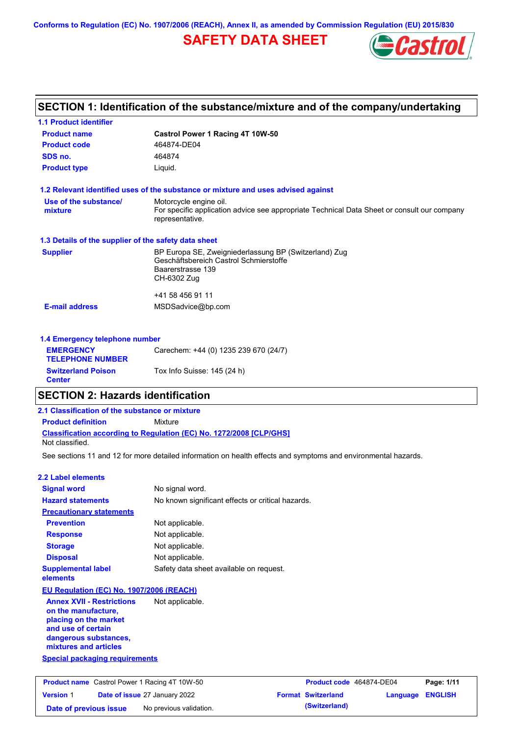**Conforms to Regulation (EC) No. 1907/2006 (REACH), Annex II, as amended by Commission Regulation (EU) 2015/830**

# **SAFETY DATA SHEET**



|                                                      | SECTION 1: Identification of the substance/mixture and of the company/undertaking                              |  |  |  |  |
|------------------------------------------------------|----------------------------------------------------------------------------------------------------------------|--|--|--|--|
| <b>1.1 Product identifier</b>                        |                                                                                                                |  |  |  |  |
| <b>Product name</b>                                  | Castrol Power 1 Racing 4T 10W-50                                                                               |  |  |  |  |
| <b>Product code</b>                                  | 464874-DE04                                                                                                    |  |  |  |  |
| SDS no.                                              | 464874                                                                                                         |  |  |  |  |
| <b>Product type</b>                                  | Liquid.                                                                                                        |  |  |  |  |
|                                                      | 1.2 Relevant identified uses of the substance or mixture and uses advised against                              |  |  |  |  |
| Use of the substance/                                | Motorcycle engine oil.                                                                                         |  |  |  |  |
| mixture                                              | For specific application advice see appropriate Technical Data Sheet or consult our company<br>representative. |  |  |  |  |
| 1.3 Details of the supplier of the safety data sheet |                                                                                                                |  |  |  |  |
| <b>Supplier</b>                                      | BP Europa SE, Zweigniederlassung BP (Switzerland) Zug                                                          |  |  |  |  |
|                                                      | Geschäftsbereich Castrol Schmierstoffe<br>Baarerstrasse 139                                                    |  |  |  |  |
|                                                      | CH-6302 Zug                                                                                                    |  |  |  |  |
|                                                      | +41 58 456 91 11                                                                                               |  |  |  |  |
| <b>E-mail address</b>                                | MSDSadvice@bp.com                                                                                              |  |  |  |  |
| 1.4 Emergency telephone number                       |                                                                                                                |  |  |  |  |
| <b>EMERGENCY</b>                                     | Carechem: +44 (0) 1235 239 670 (24/7)                                                                          |  |  |  |  |
| <b>TELEPHONE NUMBER</b>                              |                                                                                                                |  |  |  |  |
| <b>Switzerland Poison</b>                            | Tox Info Suisse: 145 (24 h)                                                                                    |  |  |  |  |

### **SECTION 2: Hazards identification**

### **Classification according to Regulation (EC) No. 1272/2008 [CLP/GHS] 2.1 Classification of the substance or mixture Product definition** Mixture Not classified.

See sections 11 and 12 for more detailed information on health effects and symptoms and environmental hazards.

### **2.2 Label elements**

**Center**

| <b>Signal word</b>                                                                                                                                       | No signal word.                                   |
|----------------------------------------------------------------------------------------------------------------------------------------------------------|---------------------------------------------------|
| <b>Hazard statements</b>                                                                                                                                 | No known significant effects or critical hazards. |
| <b>Precautionary statements</b>                                                                                                                          |                                                   |
| <b>Prevention</b>                                                                                                                                        | Not applicable.                                   |
| <b>Response</b>                                                                                                                                          | Not applicable.                                   |
| <b>Storage</b>                                                                                                                                           | Not applicable.                                   |
| <b>Disposal</b>                                                                                                                                          | Not applicable.                                   |
| <b>Supplemental label</b><br>elements                                                                                                                    | Safety data sheet available on request.           |
| <b>EU Regulation (EC) No. 1907/2006 (REACH)</b>                                                                                                          |                                                   |
| <b>Annex XVII - Restrictions</b><br>on the manufacture,<br>placing on the market<br>and use of certain<br>dangerous substances,<br>mixtures and articles | Not applicable.                                   |
| <b>Special packaging requirements</b>                                                                                                                    |                                                   |

|                        | <b>Product name</b> Castrol Power 1 Racing 4T 10W-50 | Product code 464874-DE04  |                         | Page: 1/11 |
|------------------------|------------------------------------------------------|---------------------------|-------------------------|------------|
| <b>Version 1</b>       | <b>Date of issue 27 January 2022</b>                 | <b>Format Switzerland</b> | <b>Language ENGLISH</b> |            |
| Date of previous issue | No previous validation.                              | (Switzerland)             |                         |            |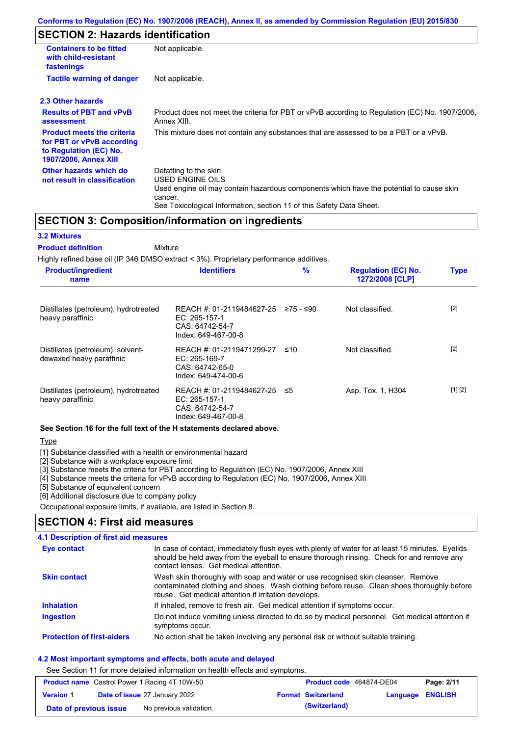### **SECTION 2: Hazards identification**

| <b>Containers to be fitted</b><br>with child-resistant<br>fastenings                                                     | Not applicable.                                                                                                                                                                                                          |
|--------------------------------------------------------------------------------------------------------------------------|--------------------------------------------------------------------------------------------------------------------------------------------------------------------------------------------------------------------------|
| <b>Tactile warning of danger</b>                                                                                         | Not applicable.                                                                                                                                                                                                          |
| 2.3 Other hazards                                                                                                        |                                                                                                                                                                                                                          |
| <b>Results of PBT and vPvB</b><br>assessment                                                                             | Product does not meet the criteria for PBT or vPvB according to Regulation (EC) No. 1907/2006,<br>Annex XIII.                                                                                                            |
| <b>Product meets the criteria</b><br>for PBT or vPvB according<br>to Regulation (EC) No.<br><b>1907/2006, Annex XIII</b> | This mixture does not contain any substances that are assessed to be a PBT or a vPvB.                                                                                                                                    |
| Other hazards which do<br>not result in classification                                                                   | Defatting to the skin.<br>USED ENGINE OILS<br>Used engine oil may contain hazardous components which have the potential to cause skin<br>cancer.<br>See Toxicological Information, section 11 of this Safety Data Sheet. |

### **SECTION 3: Composition/information on ingredients**

#### **3.2 Mixtures**

**Mixture Product definition**

Highly refined base oil (IP 346 DMSO extract < 3%). Proprietary performance additives. **Product/ingredient name % Regulation (EC) No. Identifiers Type 1272/2008 [CLP]**

| Distillates (petroleum), hydrotreated<br>heavy paraffinic     | REACH #: 01-2119484627-25<br>EC: 265-157-1<br>CAS: 64742-54-7<br>Index: 649-467-00-8    | ≥75 - ≤90 | Not classified.   | $[2]$   |
|---------------------------------------------------------------|-----------------------------------------------------------------------------------------|-----------|-------------------|---------|
| Distillates (petroleum), solvent-<br>dewaxed heavy paraffinic | REACH #: 01-2119471299-27<br>EC: $265-169-7$<br>CAS: 64742-65-0<br>Index: 649-474-00-6  | ≤10       | Not classified.   | $[2]$   |
| Distillates (petroleum), hydrotreated<br>heavy paraffinic     | REACH #: 01-2119484627-25 ≤5<br>EC: 265-157-1<br>CAS: 64742-54-7<br>Index: 649-467-00-8 |           | Asp. Tox. 1, H304 | [1] [2] |

#### **See Section 16 for the full text of the H statements declared above.**

Type

[1] Substance classified with a health or environmental hazard

[2] Substance with a workplace exposure limit

[3] Substance meets the criteria for PBT according to Regulation (EC) No. 1907/2006, Annex XIII

[4] Substance meets the criteria for vPvB according to Regulation (EC) No. 1907/2006, Annex XIII

[5] Substance of equivalent concern

[6] Additional disclosure due to company policy

Occupational exposure limits, if available, are listed in Section 8.

### **SECTION 4: First aid measures**

#### Do not induce vomiting unless directed to do so by medical personnel. Get medical attention if symptoms occur. In case of contact, immediately flush eyes with plenty of water for at least 15 minutes. Eyelids should be held away from the eyeball to ensure thorough rinsing. Check for and remove any contact lenses. Get medical attention. **4.1 Description of first aid measures** If inhaled, remove to fresh air. Get medical attention if symptoms occur. **Ingestion Inhalation Eye contact Protection of first-aiders** No action shall be taken involving any personal risk or without suitable training. **Skin contact** Wash skin thoroughly with soap and water or use recognised skin cleanser. Remove contaminated clothing and shoes. Wash clothing before reuse. Clean shoes thoroughly before reuse. Get medical attention if irritation develops.

### **4.2 Most important symptoms and effects, both acute and delayed**

See Section 11 for more detailed information on health effects and symptoms.

|                        | <b>Product name</b> Castrol Power 1 Racing 4T 10W-50 | Product code 464874-DE04  |                  | Page: 2/11 |
|------------------------|------------------------------------------------------|---------------------------|------------------|------------|
| <b>Version 1</b>       | <b>Date of issue 27 January 2022</b>                 | <b>Format Switzerland</b> | Language ENGLISH |            |
| Date of previous issue | No previous validation.                              | (Switzerland)             |                  |            |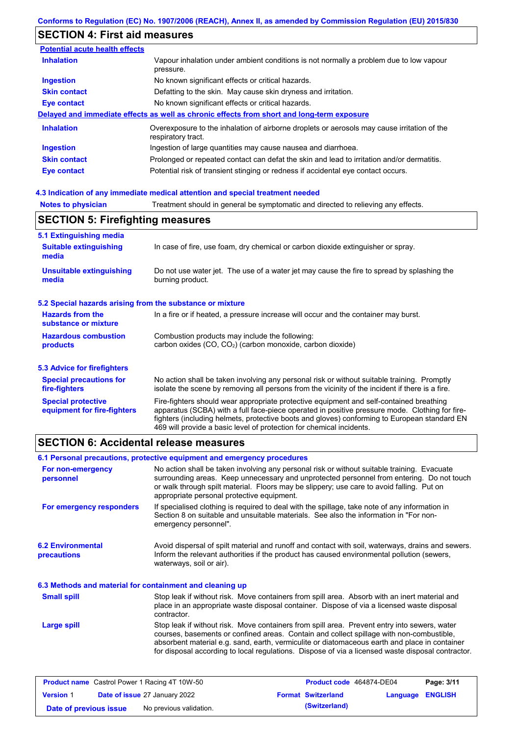# **SECTION 4: First aid measures**

| <b>Potential acute health effects</b> |                                                                                                                   |
|---------------------------------------|-------------------------------------------------------------------------------------------------------------------|
| <b>Inhalation</b>                     | Vapour inhalation under ambient conditions is not normally a problem due to low vapour<br>pressure.               |
| <b>Ingestion</b>                      | No known significant effects or critical hazards.                                                                 |
| <b>Skin contact</b>                   | Defatting to the skin. May cause skin dryness and irritation.                                                     |
| Eye contact                           | No known significant effects or critical hazards.                                                                 |
|                                       | Delayed and immediate effects as well as chronic effects from short and long-term exposure                        |
| <b>Inhalation</b>                     | Overexposure to the inhalation of airborne droplets or aerosols may cause irritation of the<br>respiratory tract. |
| <b>Ingestion</b>                      | Ingestion of large quantities may cause nausea and diarrhoea.                                                     |
| <b>Skin contact</b>                   | Prolonged or repeated contact can defat the skin and lead to irritation and/or dermatitis.                        |
| Eye contact                           | Potential risk of transient stinging or redness if accidental eye contact occurs.                                 |

### **4.3 Indication of any immediate medical attention and special treatment needed**

| <b>Notes to physician</b>                                 | Treatment should in general be symptomatic and directed to relieving any effects.                                                                                                                                                                                                                                                                                 |  |  |  |  |
|-----------------------------------------------------------|-------------------------------------------------------------------------------------------------------------------------------------------------------------------------------------------------------------------------------------------------------------------------------------------------------------------------------------------------------------------|--|--|--|--|
| <b>SECTION 5: Firefighting measures</b>                   |                                                                                                                                                                                                                                                                                                                                                                   |  |  |  |  |
| 5.1 Extinguishing media                                   |                                                                                                                                                                                                                                                                                                                                                                   |  |  |  |  |
| <b>Suitable extinguishing</b><br>media                    | In case of fire, use foam, dry chemical or carbon dioxide extinguisher or spray.                                                                                                                                                                                                                                                                                  |  |  |  |  |
| <b>Unsuitable extinguishing</b><br>media                  | Do not use water jet. The use of a water jet may cause the fire to spread by splashing the<br>burning product.                                                                                                                                                                                                                                                    |  |  |  |  |
| 5.2 Special hazards arising from the substance or mixture |                                                                                                                                                                                                                                                                                                                                                                   |  |  |  |  |
| <b>Hazards from the</b><br>substance or mixture           | In a fire or if heated, a pressure increase will occur and the container may burst.                                                                                                                                                                                                                                                                               |  |  |  |  |
| <b>Hazardous combustion</b>                               | Combustion products may include the following:                                                                                                                                                                                                                                                                                                                    |  |  |  |  |
| products                                                  | carbon oxides (CO, CO <sub>2</sub> ) (carbon monoxide, carbon dioxide)                                                                                                                                                                                                                                                                                            |  |  |  |  |
| 5.3 Advice for firefighters                               |                                                                                                                                                                                                                                                                                                                                                                   |  |  |  |  |
| <b>Special precautions for</b><br>fire-fighters           | No action shall be taken involving any personal risk or without suitable training. Promptly<br>isolate the scene by removing all persons from the vicinity of the incident if there is a fire.                                                                                                                                                                    |  |  |  |  |
| <b>Special protective</b><br>equipment for fire-fighters  | Fire-fighters should wear appropriate protective equipment and self-contained breathing<br>apparatus (SCBA) with a full face-piece operated in positive pressure mode. Clothing for fire-<br>fighters (including helmets, protective boots and gloves) conforming to European standard EN<br>469 will provide a basic level of protection for chemical incidents. |  |  |  |  |

# **SECTION 6: Accidental release measures**

|                                                          | 6.1 Personal precautions, protective equipment and emergency procedures                                                                                                                                                                                                                                                                                                                        |  |  |  |
|----------------------------------------------------------|------------------------------------------------------------------------------------------------------------------------------------------------------------------------------------------------------------------------------------------------------------------------------------------------------------------------------------------------------------------------------------------------|--|--|--|
| For non-emergency<br>personnel                           | No action shall be taken involving any personal risk or without suitable training. Evacuate<br>surrounding areas. Keep unnecessary and unprotected personnel from entering. Do not touch<br>or walk through spilt material. Floors may be slippery; use care to avoid falling. Put on<br>appropriate personal protective equipment.                                                            |  |  |  |
| For emergency responders                                 | If specialised clothing is required to deal with the spillage, take note of any information in<br>Section 8 on suitable and unsuitable materials. See also the information in "For non-<br>emergency personnel".                                                                                                                                                                               |  |  |  |
| <b>6.2 Environmental</b><br>precautions                  | Avoid dispersal of spilt material and runoff and contact with soil, waterways, drains and sewers.<br>Inform the relevant authorities if the product has caused environmental pollution (sewers,<br>waterways, soil or air).                                                                                                                                                                    |  |  |  |
| 6.3 Methods and material for containment and cleaning up |                                                                                                                                                                                                                                                                                                                                                                                                |  |  |  |
| <b>Small spill</b>                                       | Stop leak if without risk. Move containers from spill area. Absorb with an inert material and<br>place in an appropriate waste disposal container. Dispose of via a licensed waste disposal<br>contractor.                                                                                                                                                                                     |  |  |  |
| <b>Large spill</b>                                       | Stop leak if without risk. Move containers from spill area. Prevent entry into sewers, water<br>courses, basements or confined areas. Contain and collect spillage with non-combustible,<br>absorbent material e.g. sand, earth, vermiculite or diatomaceous earth and place in container<br>for disposal according to local regulations. Dispose of via a licensed waste disposal contractor. |  |  |  |

|                        | <b>Product name</b> Castrol Power 1 Racing 4T 10W-50 | Product code 464874-DE04  |                  | Page: 3/11 |
|------------------------|------------------------------------------------------|---------------------------|------------------|------------|
| <b>Version 1</b>       | <b>Date of issue 27 January 2022</b>                 | <b>Format Switzerland</b> | Language ENGLISH |            |
| Date of previous issue | No previous validation.                              | (Switzerland)             |                  |            |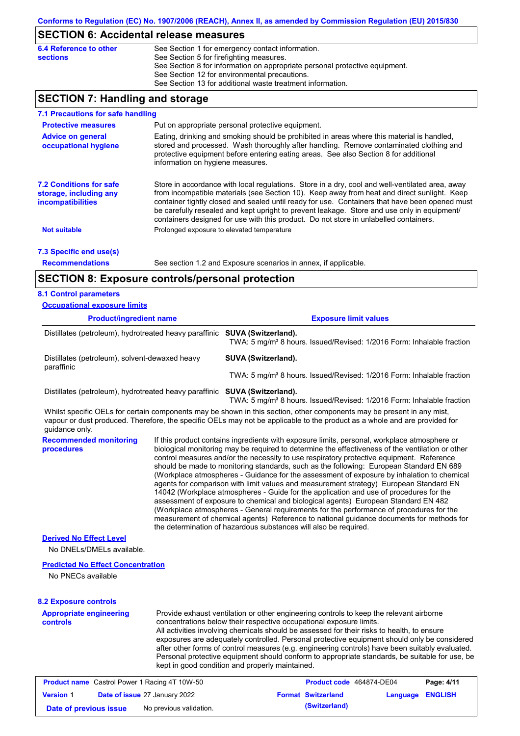### **SECTION 6: Accidental release measures**

| 6.4 Reference to other | See Section 1 for emergency contact information.                            |
|------------------------|-----------------------------------------------------------------------------|
| <b>sections</b>        | See Section 5 for firefighting measures.                                    |
|                        | See Section 8 for information on appropriate personal protective equipment. |
|                        | See Section 12 for environmental precautions.                               |
|                        | See Section 13 for additional waste treatment information.                  |

## **SECTION 7: Handling and storage**

| ===================                                                                  | <u>ana otonago</u>                                                                                                                                                                                                                                                                                                                                                                                                                                                                       |                                                                                                                                                                                                                                                                                                                                                                                                                                                                                                                                                                                                                                                                                                                                                                 |  |
|--------------------------------------------------------------------------------------|------------------------------------------------------------------------------------------------------------------------------------------------------------------------------------------------------------------------------------------------------------------------------------------------------------------------------------------------------------------------------------------------------------------------------------------------------------------------------------------|-----------------------------------------------------------------------------------------------------------------------------------------------------------------------------------------------------------------------------------------------------------------------------------------------------------------------------------------------------------------------------------------------------------------------------------------------------------------------------------------------------------------------------------------------------------------------------------------------------------------------------------------------------------------------------------------------------------------------------------------------------------------|--|
| 7.1 Precautions for safe handling                                                    |                                                                                                                                                                                                                                                                                                                                                                                                                                                                                          |                                                                                                                                                                                                                                                                                                                                                                                                                                                                                                                                                                                                                                                                                                                                                                 |  |
| <b>Protective measures</b>                                                           |                                                                                                                                                                                                                                                                                                                                                                                                                                                                                          | Put on appropriate personal protective equipment.                                                                                                                                                                                                                                                                                                                                                                                                                                                                                                                                                                                                                                                                                                               |  |
| <b>Advice on general</b><br>occupational hygiene                                     | Eating, drinking and smoking should be prohibited in areas where this material is handled,<br>stored and processed. Wash thoroughly after handling. Remove contaminated clothing and<br>protective equipment before entering eating areas. See also Section 8 for additional<br>information on hygiene measures.                                                                                                                                                                         |                                                                                                                                                                                                                                                                                                                                                                                                                                                                                                                                                                                                                                                                                                                                                                 |  |
| <b>7.2 Conditions for safe</b><br>storage, including any<br><b>incompatibilities</b> | Store in accordance with local regulations. Store in a dry, cool and well-ventilated area, away<br>from incompatible materials (see Section 10). Keep away from heat and direct sunlight. Keep<br>container tightly closed and sealed until ready for use. Containers that have been opened must<br>be carefully resealed and kept upright to prevent leakage. Store and use only in equipment/<br>containers designed for use with this product. Do not store in unlabelled containers. |                                                                                                                                                                                                                                                                                                                                                                                                                                                                                                                                                                                                                                                                                                                                                                 |  |
| <b>Not suitable</b>                                                                  |                                                                                                                                                                                                                                                                                                                                                                                                                                                                                          | Prolonged exposure to elevated temperature                                                                                                                                                                                                                                                                                                                                                                                                                                                                                                                                                                                                                                                                                                                      |  |
| 7.3 Specific end use(s)                                                              |                                                                                                                                                                                                                                                                                                                                                                                                                                                                                          |                                                                                                                                                                                                                                                                                                                                                                                                                                                                                                                                                                                                                                                                                                                                                                 |  |
| <b>Recommendations</b>                                                               |                                                                                                                                                                                                                                                                                                                                                                                                                                                                                          | See section 1.2 and Exposure scenarios in annex, if applicable.                                                                                                                                                                                                                                                                                                                                                                                                                                                                                                                                                                                                                                                                                                 |  |
| <b>SECTION 8: Exposure controls/personal protection</b>                              |                                                                                                                                                                                                                                                                                                                                                                                                                                                                                          |                                                                                                                                                                                                                                                                                                                                                                                                                                                                                                                                                                                                                                                                                                                                                                 |  |
| <b>8.1 Control parameters</b>                                                        |                                                                                                                                                                                                                                                                                                                                                                                                                                                                                          |                                                                                                                                                                                                                                                                                                                                                                                                                                                                                                                                                                                                                                                                                                                                                                 |  |
| <b>Occupational exposure limits</b>                                                  |                                                                                                                                                                                                                                                                                                                                                                                                                                                                                          |                                                                                                                                                                                                                                                                                                                                                                                                                                                                                                                                                                                                                                                                                                                                                                 |  |
| <b>Product/ingredient name</b>                                                       |                                                                                                                                                                                                                                                                                                                                                                                                                                                                                          | <b>Exposure limit values</b>                                                                                                                                                                                                                                                                                                                                                                                                                                                                                                                                                                                                                                                                                                                                    |  |
| Distillates (petroleum), hydrotreated heavy paraffinic SUVA (Switzerland).           |                                                                                                                                                                                                                                                                                                                                                                                                                                                                                          | TWA: 5 mg/m <sup>3</sup> 8 hours. Issued/Revised: 1/2016 Form: Inhalable fraction                                                                                                                                                                                                                                                                                                                                                                                                                                                                                                                                                                                                                                                                               |  |
| Distillates (petroleum), solvent-dewaxed heavy<br>paraffinic                         |                                                                                                                                                                                                                                                                                                                                                                                                                                                                                          | SUVA (Switzerland).                                                                                                                                                                                                                                                                                                                                                                                                                                                                                                                                                                                                                                                                                                                                             |  |
|                                                                                      |                                                                                                                                                                                                                                                                                                                                                                                                                                                                                          | TWA: 5 mg/m <sup>3</sup> 8 hours. Issued/Revised: 1/2016 Form: Inhalable fraction                                                                                                                                                                                                                                                                                                                                                                                                                                                                                                                                                                                                                                                                               |  |
| Distillates (petroleum), hydrotreated heavy paraffinic SUVA (Switzerland).           |                                                                                                                                                                                                                                                                                                                                                                                                                                                                                          | TWA: 5 mg/m <sup>3</sup> 8 hours. Issued/Revised: 1/2016 Form: Inhalable fraction                                                                                                                                                                                                                                                                                                                                                                                                                                                                                                                                                                                                                                                                               |  |
| guidance only.                                                                       |                                                                                                                                                                                                                                                                                                                                                                                                                                                                                          | Whilst specific OELs for certain components may be shown in this section, other components may be present in any mist,<br>vapour or dust produced. Therefore, the specific OELs may not be applicable to the product as a whole and are provided for                                                                                                                                                                                                                                                                                                                                                                                                                                                                                                            |  |
| <b>Recommended monitoring</b><br>procedures                                          |                                                                                                                                                                                                                                                                                                                                                                                                                                                                                          | If this product contains ingredients with exposure limits, personal, workplace atmosphere or<br>biological monitoring may be required to determine the effectiveness of the ventilation or other<br>control measures and/or the necessity to use respiratory protective equipment. Reference<br>should be made to monitoring standards, such as the following: European Standard EN 689<br>(Workplace atmospheres - Guidance for the assessment of exposure by inhalation to chemical<br>agents for comparison with limit values and measurement strategy) European Standard EN<br>14042 (Workplace atmospheres - Guide for the application and use of procedures for the<br>assessment of exposure to chemical and biological agents) European Standard EN 482 |  |

#### **Derived No Effect Level**

No DNELs/DMELs available.

#### **Predicted No Effect Concentration**

No PNECs available

#### **8.2 Exposure controls**

**controls**

**Appropriate engineering**  Provide exhaust ventilation or other engineering controls to keep the relevant airborne concentrations below their respective occupational exposure limits. All activities involving chemicals should be assessed for their risks to health, to ensure exposures are adequately controlled. Personal protective equipment should only be considered after other forms of control measures (e.g. engineering controls) have been suitably evaluated. Personal protective equipment should conform to appropriate standards, be suitable for use, be kept in good condition and properly maintained.

(Workplace atmospheres - General requirements for the performance of procedures for the measurement of chemical agents) Reference to national guidance documents for methods for

| <b>Product name</b> Castrol Power 1 Racing 4T 10W-50 |  |                                      | Product code 464874-DE04<br>Page: 4/11 |                           |                         |  |
|------------------------------------------------------|--|--------------------------------------|----------------------------------------|---------------------------|-------------------------|--|
| <b>Version 1</b>                                     |  | <b>Date of issue 27 January 2022</b> |                                        | <b>Format Switzerland</b> | <b>Language ENGLISH</b> |  |
| Date of previous issue                               |  | No previous validation.              |                                        | (Switzerland)             |                         |  |

the determination of hazardous substances will also be required.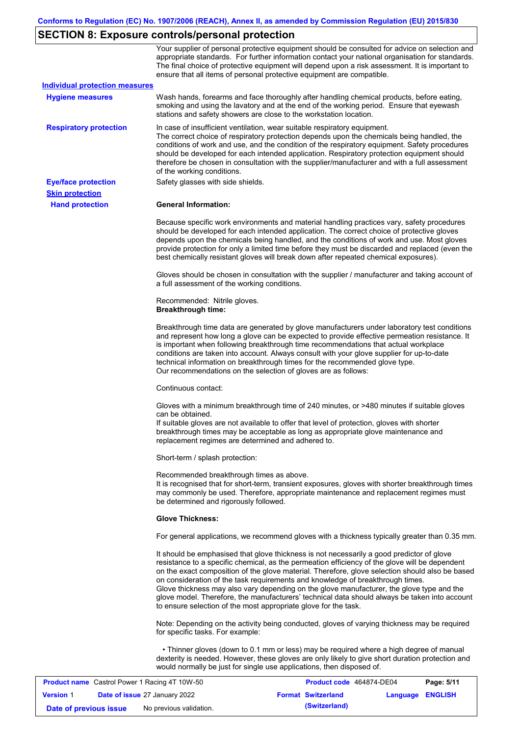# **SECTION 8: Exposure controls/personal protection**

|                                       | Your supplier of personal protective equipment should be consulted for advice on selection and<br>appropriate standards. For further information contact your national organisation for standards.<br>The final choice of protective equipment will depend upon a risk assessment. It is important to<br>ensure that all items of personal protective equipment are compatible.                                                                                                                                                                                                                                                                   |
|---------------------------------------|---------------------------------------------------------------------------------------------------------------------------------------------------------------------------------------------------------------------------------------------------------------------------------------------------------------------------------------------------------------------------------------------------------------------------------------------------------------------------------------------------------------------------------------------------------------------------------------------------------------------------------------------------|
| <b>Individual protection measures</b> |                                                                                                                                                                                                                                                                                                                                                                                                                                                                                                                                                                                                                                                   |
| <b>Hygiene measures</b>               | Wash hands, forearms and face thoroughly after handling chemical products, before eating,<br>smoking and using the lavatory and at the end of the working period. Ensure that eyewash<br>stations and safety showers are close to the workstation location.                                                                                                                                                                                                                                                                                                                                                                                       |
| <b>Respiratory protection</b>         | In case of insufficient ventilation, wear suitable respiratory equipment.<br>The correct choice of respiratory protection depends upon the chemicals being handled, the<br>conditions of work and use, and the condition of the respiratory equipment. Safety procedures<br>should be developed for each intended application. Respiratory protection equipment should<br>therefore be chosen in consultation with the supplier/manufacturer and with a full assessment<br>of the working conditions.                                                                                                                                             |
| <b>Eye/face protection</b>            | Safety glasses with side shields.                                                                                                                                                                                                                                                                                                                                                                                                                                                                                                                                                                                                                 |
| <b>Skin protection</b>                |                                                                                                                                                                                                                                                                                                                                                                                                                                                                                                                                                                                                                                                   |
| <b>Hand protection</b>                | <b>General Information:</b>                                                                                                                                                                                                                                                                                                                                                                                                                                                                                                                                                                                                                       |
|                                       | Because specific work environments and material handling practices vary, safety procedures<br>should be developed for each intended application. The correct choice of protective gloves<br>depends upon the chemicals being handled, and the conditions of work and use. Most gloves<br>provide protection for only a limited time before they must be discarded and replaced (even the<br>best chemically resistant gloves will break down after repeated chemical exposures).                                                                                                                                                                  |
|                                       | Gloves should be chosen in consultation with the supplier / manufacturer and taking account of<br>a full assessment of the working conditions.                                                                                                                                                                                                                                                                                                                                                                                                                                                                                                    |
|                                       | Recommended: Nitrile gloves.<br><b>Breakthrough time:</b>                                                                                                                                                                                                                                                                                                                                                                                                                                                                                                                                                                                         |
|                                       | Breakthrough time data are generated by glove manufacturers under laboratory test conditions<br>and represent how long a glove can be expected to provide effective permeation resistance. It<br>is important when following breakthrough time recommendations that actual workplace<br>conditions are taken into account. Always consult with your glove supplier for up-to-date<br>technical information on breakthrough times for the recommended glove type.<br>Our recommendations on the selection of gloves are as follows:                                                                                                                |
|                                       | Continuous contact:                                                                                                                                                                                                                                                                                                                                                                                                                                                                                                                                                                                                                               |
|                                       | Gloves with a minimum breakthrough time of 240 minutes, or >480 minutes if suitable gloves<br>can be obtained.<br>If suitable gloves are not available to offer that level of protection, gloves with shorter<br>breakthrough times may be acceptable as long as appropriate glove maintenance and<br>replacement regimes are determined and adhered to.                                                                                                                                                                                                                                                                                          |
|                                       | Short-term / splash protection:                                                                                                                                                                                                                                                                                                                                                                                                                                                                                                                                                                                                                   |
|                                       | Recommended breakthrough times as above.<br>It is recognised that for short-term, transient exposures, gloves with shorter breakthrough times<br>may commonly be used. Therefore, appropriate maintenance and replacement regimes must<br>be determined and rigorously followed.                                                                                                                                                                                                                                                                                                                                                                  |
|                                       | <b>Glove Thickness:</b>                                                                                                                                                                                                                                                                                                                                                                                                                                                                                                                                                                                                                           |
|                                       | For general applications, we recommend gloves with a thickness typically greater than 0.35 mm.                                                                                                                                                                                                                                                                                                                                                                                                                                                                                                                                                    |
|                                       | It should be emphasised that glove thickness is not necessarily a good predictor of glove<br>resistance to a specific chemical, as the permeation efficiency of the glove will be dependent<br>on the exact composition of the glove material. Therefore, glove selection should also be based<br>on consideration of the task requirements and knowledge of breakthrough times.<br>Glove thickness may also vary depending on the glove manufacturer, the glove type and the<br>glove model. Therefore, the manufacturers' technical data should always be taken into account<br>to ensure selection of the most appropriate glove for the task. |
|                                       | Note: Depending on the activity being conducted, gloves of varying thickness may be required<br>for specific tasks. For example:                                                                                                                                                                                                                                                                                                                                                                                                                                                                                                                  |
|                                       | • Thinner gloves (down to 0.1 mm or less) may be required where a high degree of manual<br>dexterity is needed. However, these gloves are only likely to give short duration protection and<br>would normally be just for single use applications, then disposed of.                                                                                                                                                                                                                                                                                                                                                                              |

| <b>Product name</b> Castrol Power 1 Racing 4T 10W-50 |  |                                      | Product code 464874-DE04<br>Page: 5/11 |                  |  |
|------------------------------------------------------|--|--------------------------------------|----------------------------------------|------------------|--|
| <b>Version 1</b>                                     |  | <b>Date of issue 27 January 2022</b> | <b>Format Switzerland</b>              | Language ENGLISH |  |
| Date of previous issue                               |  | No previous validation.              | (Switzerland)                          |                  |  |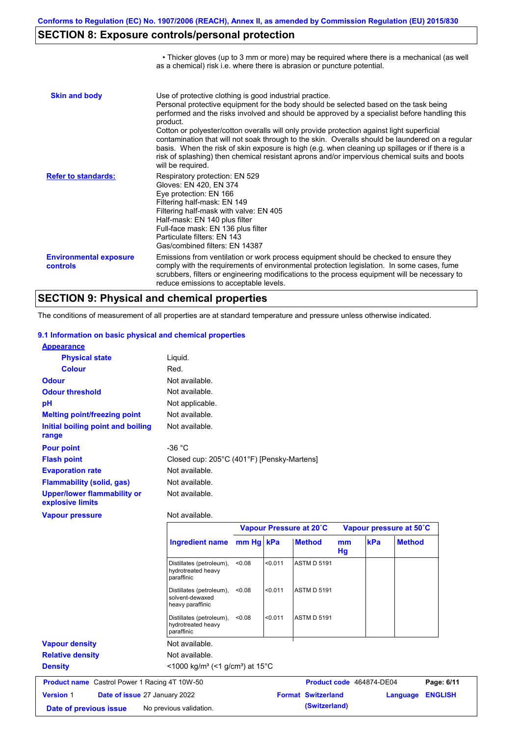• Thicker gloves (up to 3 mm or more) may be required where there is a mechanical (as well

# **SECTION 8: Exposure controls/personal protection**

|                                           | as a chemical) risk i.e. where there is abrasion or puncture potential.                                                                                                                                                                                                                                                                                                                                                                                                                                                                                                                                                                                                               |
|-------------------------------------------|---------------------------------------------------------------------------------------------------------------------------------------------------------------------------------------------------------------------------------------------------------------------------------------------------------------------------------------------------------------------------------------------------------------------------------------------------------------------------------------------------------------------------------------------------------------------------------------------------------------------------------------------------------------------------------------|
| <b>Skin and body</b>                      | Use of protective clothing is good industrial practice.<br>Personal protective equipment for the body should be selected based on the task being<br>performed and the risks involved and should be approved by a specialist before handling this<br>product.<br>Cotton or polyester/cotton overalls will only provide protection against light superficial<br>contamination that will not soak through to the skin. Overalls should be laundered on a regular<br>basis. When the risk of skin exposure is high (e.g. when cleaning up spillages or if there is a<br>risk of splashing) then chemical resistant aprons and/or impervious chemical suits and boots<br>will be required. |
| <b>Refer to standards:</b>                | Respiratory protection: EN 529<br>Gloves: EN 420, EN 374<br>Eye protection: EN 166<br>Filtering half-mask: EN 149<br>Filtering half-mask with valve: EN 405<br>Half-mask: EN 140 plus filter<br>Full-face mask: EN 136 plus filter<br>Particulate filters: EN 143<br>Gas/combined filters: EN 14387                                                                                                                                                                                                                                                                                                                                                                                   |
| <b>Environmental exposure</b><br>controls | Emissions from ventilation or work process equipment should be checked to ensure they<br>comply with the requirements of environmental protection legislation. In some cases, fume<br>scrubbers, filters or engineering modifications to the process equipment will be necessary to<br>reduce emissions to acceptable levels.                                                                                                                                                                                                                                                                                                                                                         |

### **SECTION 9: Physical and chemical properties**

The conditions of measurement of all properties are at standard temperature and pressure unless otherwise indicated.

#### **9.1 Information on basic physical and chemical properties**

| <b>Appearance</b>                               |                                            |
|-------------------------------------------------|--------------------------------------------|
| <b>Physical state</b>                           | Liquid.                                    |
| <b>Colour</b>                                   | Red.                                       |
| <b>Odour</b>                                    | Not available.                             |
| <b>Odour threshold</b>                          | Not available.                             |
| pH                                              | Not applicable.                            |
| <b>Melting point/freezing point</b>             | Not available.                             |
| Initial boiling point and boiling<br>range      | Not available.                             |
| <b>Pour point</b>                               | -36 $^{\circ}$ C                           |
| <b>Flash point</b>                              | Closed cup: 205°C (401°F) [Pensky-Martens] |
| <b>Evaporation rate</b>                         | Not available.                             |
| <b>Flammability (solid, gas)</b>                | Not available.                             |
| Upper/lower flammability or<br>explosive limits | Not available.                             |

### **Vapour pressure**

#### Not available.

|                                                      |                                                                            |           | Vapour Pressure at 20°C |                           |          | Vapour pressure at 50°C     |                |
|------------------------------------------------------|----------------------------------------------------------------------------|-----------|-------------------------|---------------------------|----------|-----------------------------|----------------|
|                                                      | <b>Ingredient name</b>                                                     | mm Hg kPa |                         | <b>Method</b>             | mm<br>Hg | <b>kPa</b><br><b>Method</b> |                |
|                                                      | Distillates (petroleum),<br>hydrotreated heavy<br>paraffinic               | < 0.08    | < 0.011                 | <b>ASTM D 5191</b>        |          |                             |                |
|                                                      | Distillates (petroleum),<br>solvent-dewaxed<br>heavy paraffinic            | < 0.08    | < 0.011                 | <b>ASTM D 5191</b>        |          |                             |                |
|                                                      | Distillates (petroleum),<br>hydrotreated heavy<br>paraffinic               | < 0.08    | < 0.011                 | <b>ASTM D 5191</b>        |          |                             |                |
| <b>Vapour density</b>                                | Not available.                                                             |           |                         |                           |          |                             |                |
| <b>Relative density</b>                              | Not available.                                                             |           |                         |                           |          |                             |                |
| <b>Density</b>                                       | $\leq$ 1000 kg/m <sup>3</sup> (<1 g/cm <sup>3</sup> ) at 15 <sup>°</sup> C |           |                         |                           |          |                             |                |
| <b>Product name</b> Castrol Power 1 Racing 4T 10W-50 |                                                                            |           |                         |                           |          | Product code 464874-DE04    | Page: 6/11     |
| <b>Version 1</b><br>Date of issue 27 January 2022    |                                                                            |           |                         | <b>Format Switzerland</b> |          | Language                    | <b>ENGLISH</b> |
| Date of previous issue                               | No previous validation.                                                    |           |                         | (Switzerland)             |          |                             |                |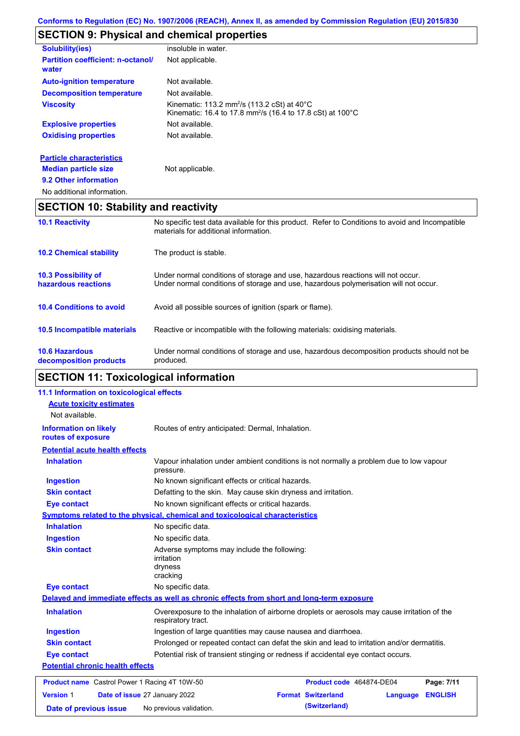# **SECTION 9: Physical and chemical properties**

| <b>Solubility(ies)</b>                            | insoluble in water.                                                                                                                          |
|---------------------------------------------------|----------------------------------------------------------------------------------------------------------------------------------------------|
| <b>Partition coefficient: n-octanol/</b><br>water | Not applicable.                                                                                                                              |
| <b>Auto-ignition temperature</b>                  | Not available.                                                                                                                               |
| <b>Decomposition temperature</b>                  | Not available.                                                                                                                               |
| <b>Viscosity</b>                                  | Kinematic: 113.2 mm <sup>2</sup> /s (113.2 cSt) at $40^{\circ}$ C<br>Kinematic: 16.4 to 17.8 mm <sup>2</sup> /s (16.4 to 17.8 cSt) at 100 °C |
| <b>Explosive properties</b>                       | Not available.                                                                                                                               |
| <b>Oxidising properties</b>                       | Not available.                                                                                                                               |
| <b>Particle characteristics</b>                   |                                                                                                                                              |
| <b>Median particle size</b>                       | Not applicable.                                                                                                                              |
| 9.2 Other information                             |                                                                                                                                              |
|                                                   |                                                                                                                                              |

No additional information.

### **SECTION 10: Stability and reactivity**

| <b>10.6 Hazardous</b><br>decomposition products   | Under normal conditions of storage and use, hazardous decomposition products should not be<br>produced.                                                                 |
|---------------------------------------------------|-------------------------------------------------------------------------------------------------------------------------------------------------------------------------|
| 10.5 Incompatible materials                       | Reactive or incompatible with the following materials: oxidising materials.                                                                                             |
| <b>10.4 Conditions to avoid</b>                   | Avoid all possible sources of ignition (spark or flame).                                                                                                                |
| <b>10.3 Possibility of</b><br>hazardous reactions | Under normal conditions of storage and use, hazardous reactions will not occur.<br>Under normal conditions of storage and use, hazardous polymerisation will not occur. |
| <b>10.2 Chemical stability</b>                    | The product is stable.                                                                                                                                                  |
| <b>10.1 Reactivity</b>                            | No specific test data available for this product. Refer to Conditions to avoid and Incompatible<br>materials for additional information.                                |

# **SECTION 11: Toxicological information**

| 11.1 Information on toxicological effects                                                                                |                                                                                                                   |                                       |                |
|--------------------------------------------------------------------------------------------------------------------------|-------------------------------------------------------------------------------------------------------------------|---------------------------------------|----------------|
| <b>Acute toxicity estimates</b>                                                                                          |                                                                                                                   |                                       |                |
| Not available.                                                                                                           |                                                                                                                   |                                       |                |
| <b>Information on likely</b><br>routes of exposure                                                                       | Routes of entry anticipated: Dermal, Inhalation.                                                                  |                                       |                |
| <b>Potential acute health effects</b>                                                                                    |                                                                                                                   |                                       |                |
| <b>Inhalation</b><br>Vapour inhalation under ambient conditions is not normally a problem due to low vapour<br>pressure. |                                                                                                                   |                                       |                |
| <b>Ingestion</b>                                                                                                         | No known significant effects or critical hazards.                                                                 |                                       |                |
| <b>Skin contact</b>                                                                                                      | Defatting to the skin. May cause skin dryness and irritation.                                                     |                                       |                |
| No known significant effects or critical hazards.<br><b>Eye contact</b>                                                  |                                                                                                                   |                                       |                |
|                                                                                                                          | <b>Symptoms related to the physical, chemical and toxicological characteristics</b>                               |                                       |                |
| <b>Inhalation</b>                                                                                                        | No specific data.                                                                                                 |                                       |                |
| <b>Ingestion</b>                                                                                                         | No specific data.                                                                                                 |                                       |                |
| <b>Skin contact</b>                                                                                                      | Adverse symptoms may include the following:<br><i>irritation</i><br>dryness<br>cracking                           |                                       |                |
| <b>Eye contact</b>                                                                                                       | No specific data.                                                                                                 |                                       |                |
|                                                                                                                          | Delayed and immediate effects as well as chronic effects from short and long-term exposure                        |                                       |                |
| <b>Inhalation</b>                                                                                                        | Overexposure to the inhalation of airborne droplets or aerosols may cause irritation of the<br>respiratory tract. |                                       |                |
| <b>Ingestion</b>                                                                                                         | Ingestion of large quantities may cause nausea and diarrhoea.                                                     |                                       |                |
| <b>Skin contact</b>                                                                                                      | Prolonged or repeated contact can defat the skin and lead to irritation and/or dermatitis.                        |                                       |                |
| <b>Eye contact</b><br>Potential risk of transient stinging or redness if accidental eye contact occurs.                  |                                                                                                                   |                                       |                |
| <b>Potential chronic health effects</b>                                                                                  |                                                                                                                   |                                       |                |
| <b>Product name</b> Castrol Power 1 Racing 4T 10W-50                                                                     |                                                                                                                   | Product code 464874-DE04              | Page: 7/11     |
| <b>Version 1</b><br>Date of issue 27 January 2022                                                                        |                                                                                                                   | <b>Format Switzerland</b><br>Language | <b>ENGLISH</b> |
| Date of previous issue                                                                                                   | No previous validation.                                                                                           | (Switzerland)                         |                |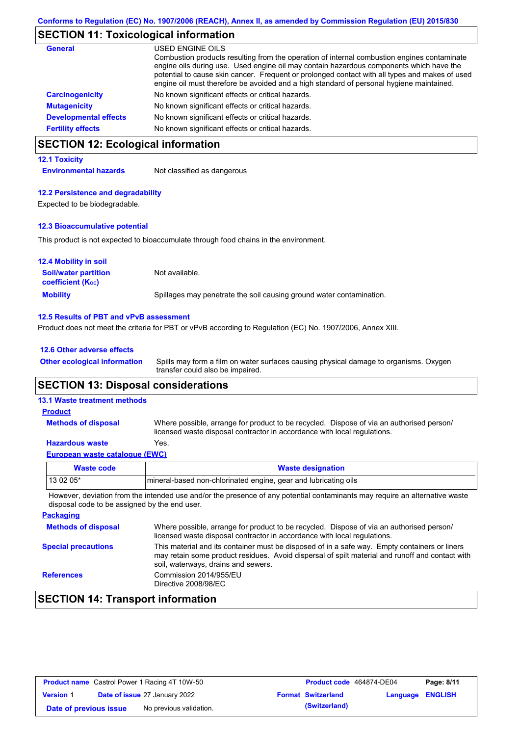# **SECTION 11: Toxicological information**

| <b>General</b>               | USED ENGINE OILS<br>Combustion products resulting from the operation of internal combustion engines contaminate<br>engine oils during use. Used engine oil may contain hazardous components which have the<br>potential to cause skin cancer. Frequent or prolonged contact with all types and makes of used |
|------------------------------|--------------------------------------------------------------------------------------------------------------------------------------------------------------------------------------------------------------------------------------------------------------------------------------------------------------|
|                              | engine oil must therefore be avoided and a high standard of personal hygiene maintained.                                                                                                                                                                                                                     |
| <b>Carcinogenicity</b>       | No known significant effects or critical hazards.                                                                                                                                                                                                                                                            |
| <b>Mutagenicity</b>          | No known significant effects or critical hazards.                                                                                                                                                                                                                                                            |
| <b>Developmental effects</b> | No known significant effects or critical hazards.                                                                                                                                                                                                                                                            |
| <b>Fertility effects</b>     | No known significant effects or critical hazards.                                                                                                                                                                                                                                                            |

## **SECTION 12: Ecological information**

#### **12.1 Toxicity**

**Environmental hazards** Not classified as dangerous

#### **12.2 Persistence and degradability**

Expected to be biodegradable.

#### **12.3 Bioaccumulative potential**

This product is not expected to bioaccumulate through food chains in the environment.

| <b>12.4 Mobility in soil</b>                                  |                                                                      |
|---------------------------------------------------------------|----------------------------------------------------------------------|
| <b>Soil/water partition</b><br>coefficient (K <sub>oc</sub> ) | Not available.                                                       |
| <b>Mobility</b>                                               | Spillages may penetrate the soil causing ground water contamination. |

#### **12.5 Results of PBT and vPvB assessment**

Product does not meet the criteria for PBT or vPvB according to Regulation (EC) No. 1907/2006, Annex XIII.

#### **12.6 Other adverse effects**

Spills may form a film on water surfaces causing physical damage to organisms. Oxygen transfer could also be impaired. **Other ecological information**

### **SECTION 13: Disposal considerations**

### **13.1 Waste treatment methods**

**Methods of disposal**

### **Product**

Where possible, arrange for product to be recycled. Dispose of via an authorised person/ licensed waste disposal contractor in accordance with local regulations.

#### **Hazardous waste** Yes.

| European waste catalogue (EWC) |  |  |
|--------------------------------|--|--|
|                                |  |  |

| Waste code | <b>Waste designation</b>                                                                                                   |
|------------|----------------------------------------------------------------------------------------------------------------------------|
| $130205*$  | mineral-based non-chlorinated engine, gear and lubricating oils                                                            |
|            | However deviation from the intended use and/or the presence of any potential contaminants may require an alternative waste |

However, deviation from the intended use and/or the presence of any potential contaminants may disposal code to be assigned by the end user.

| <b>Packaging</b>           |                                                                                                                                                                                                                                         |
|----------------------------|-----------------------------------------------------------------------------------------------------------------------------------------------------------------------------------------------------------------------------------------|
| <b>Methods of disposal</b> | Where possible, arrange for product to be recycled. Dispose of via an authorised person/<br>licensed waste disposal contractor in accordance with local regulations.                                                                    |
| <b>Special precautions</b> | This material and its container must be disposed of in a safe way. Empty containers or liners<br>may retain some product residues. Avoid dispersal of spilt material and runoff and contact with<br>soil, waterways, drains and sewers. |
| <b>References</b>          | Commission 2014/955/EU<br>Directive 2008/98/EC                                                                                                                                                                                          |

### **SECTION 14: Transport information**

| <b>Product name</b> Castrol Power 1 Racing 4T 10W-50 |  |                                      | <b>Product code</b> 464874-DE04 |                           | Page: 8/11       |  |
|------------------------------------------------------|--|--------------------------------------|---------------------------------|---------------------------|------------------|--|
| <b>Version 1</b>                                     |  | <b>Date of issue 27 January 2022</b> |                                 | <b>Format Switzerland</b> | Language ENGLISH |  |
| Date of previous issue                               |  | No previous validation.              |                                 | (Switzerland)             |                  |  |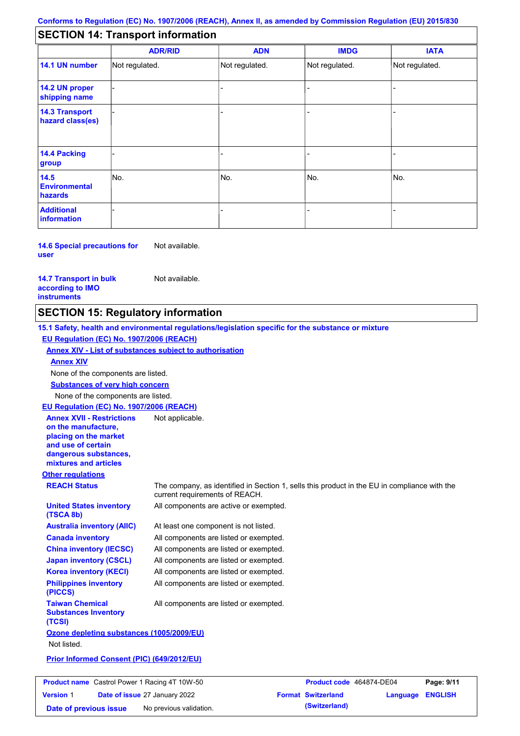### **SECTION 14: Transport information**

|                                           | <b>ADR/RID</b> | <b>ADN</b>     | <b>IMDG</b>    | <b>IATA</b>    |
|-------------------------------------------|----------------|----------------|----------------|----------------|
| 14.1 UN number                            | Not regulated. | Not regulated. | Not regulated. | Not regulated. |
| 14.2 UN proper<br>shipping name           |                |                |                |                |
| <b>14.3 Transport</b><br>hazard class(es) |                |                |                |                |
| 14.4 Packing<br>group                     |                |                |                |                |
| 14.5<br><b>Environmental</b><br>hazards   | No.            | No.            | No.            | No.            |
| <b>Additional</b><br>information          |                |                |                |                |

**14.6 Special precautions for user** Not available.

**14.7 Transport in bulk according to IMO instruments**

Not available.

### **SECTION 15: Regulatory information**

**Other regulations REACH Status** The company, as identified in Section 1, sells this product in the EU in compliance with the current requirements of REACH. **15.1 Safety, health and environmental regulations/legislation specific for the substance or mixture EU Regulation (EC) No. 1907/2006 (REACH) Annex XIV - List of substances subject to authorisation Substances of very high concern** None of the components are listed. At least one component is not listed. All components are listed or exempted. All components are listed or exempted. All components are listed or exempted. All components are active or exempted. All components are listed or exempted. All components are listed or exempted. **United States inventory (TSCA 8b) Australia inventory (AIIC) Canada inventory China inventory (IECSC) Japan inventory (CSCL) Korea inventory (KECI) Philippines inventory (PICCS) Taiwan Chemical Substances Inventory (TCSI)** All components are listed or exempted. **Ozone depleting substances (1005/2009/EU)** Not listed. **Prior Informed Consent (PIC) (649/2012/EU)** None of the components are listed. **Annex XIV EU Regulation (EC) No. 1907/2006 (REACH) Annex XVII - Restrictions on the manufacture, placing on the market and use of certain dangerous substances, mixtures and articles** Not applicable.

| <b>Product name</b> Castrol Power 1 Racing 4T 10W-50 |  |                                      | Product code 464874-DE04 |                           | Page: 9/11              |  |
|------------------------------------------------------|--|--------------------------------------|--------------------------|---------------------------|-------------------------|--|
| <b>Version 1</b>                                     |  | <b>Date of issue 27 January 2022</b> |                          | <b>Format Switzerland</b> | <b>Language ENGLISH</b> |  |
| Date of previous issue                               |  | No previous validation.              |                          | (Switzerland)             |                         |  |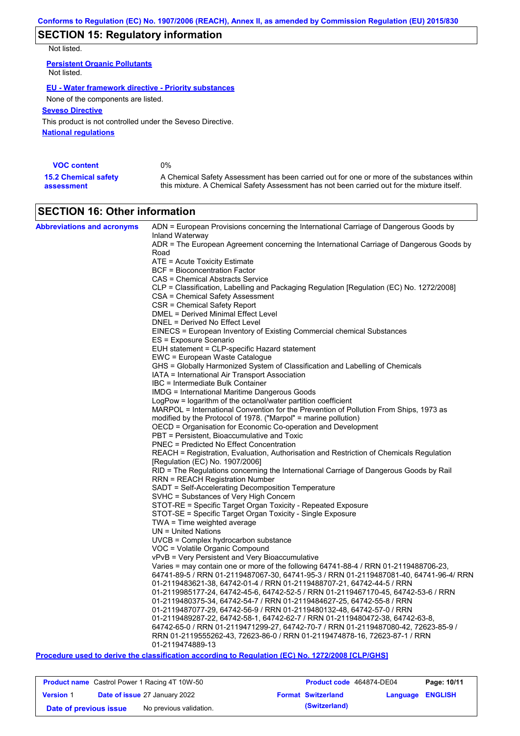# **SECTION 15: Regulatory information**

Not listed.

**Persistent Organic Pollutants** Not listed.

#### **EU - Water framework directive - Priority substances**

None of the components are listed.

### **Seveso Directive**

This product is not controlled under the Seveso Directive.

**National regulations**

| <b>VOC content</b>          | $0\%$                                                                                       |
|-----------------------------|---------------------------------------------------------------------------------------------|
| <b>15.2 Chemical safety</b> | A Chemical Safety Assessment has been carried out for one or more of the substances within  |
| assessment                  | this mixture. A Chemical Safety Assessment has not been carried out for the mixture itself. |

## **SECTION 16: Other information**

| ADR = The European Agreement concerning the International Carriage of Dangerous Goods by<br>Road<br>ATE = Acute Toxicity Estimate<br>BCF = Bioconcentration Factor<br>CAS = Chemical Abstracts Service<br>CLP = Classification, Labelling and Packaging Regulation [Regulation (EC) No. 1272/2008]<br>CSA = Chemical Safety Assessment<br>CSR = Chemical Safety Report<br><b>DMEL = Derived Minimal Effect Level</b><br>DNEL = Derived No Effect Level<br>EINECS = European Inventory of Existing Commercial chemical Substances<br>ES = Exposure Scenario<br>EUH statement = CLP-specific Hazard statement<br>EWC = European Waste Catalogue<br>GHS = Globally Harmonized System of Classification and Labelling of Chemicals<br>IATA = International Air Transport Association<br>IBC = Intermediate Bulk Container<br><b>IMDG</b> = International Maritime Dangerous Goods<br>LogPow = logarithm of the octanol/water partition coefficient<br>MARPOL = International Convention for the Prevention of Pollution From Ships, 1973 as<br>modified by the Protocol of 1978. ("Marpol" = marine pollution)<br>OECD = Organisation for Economic Co-operation and Development<br>PBT = Persistent, Bioaccumulative and Toxic<br><b>PNEC = Predicted No Effect Concentration</b><br>REACH = Registration, Evaluation, Authorisation and Restriction of Chemicals Regulation<br>[Regulation (EC) No. 1907/2006]<br>RID = The Regulations concerning the International Carriage of Dangerous Goods by Rail<br>RRN = REACH Registration Number<br>SADT = Self-Accelerating Decomposition Temperature<br>SVHC = Substances of Very High Concern<br>STOT-RE = Specific Target Organ Toxicity - Repeated Exposure<br>STOT-SE = Specific Target Organ Toxicity - Single Exposure<br>$TWA = Time$ weighted average<br>$UN = United Nations$<br>$UVCB = Complex\;hydrocarbon\; substance$<br>VOC = Volatile Organic Compound<br>vPvB = Very Persistent and Very Bioaccumulative<br>Varies = may contain one or more of the following 64741-88-4 / RRN 01-2119488706-23,<br>64741-89-5 / RRN 01-2119487067-30, 64741-95-3 / RRN 01-2119487081-40, 64741-96-4/ RRN<br>01-2119483621-38, 64742-01-4 / RRN 01-2119488707-21, 64742-44-5 / RRN<br>01-2119985177-24. 64742-45-6. 64742-52-5 / RRN 01-2119467170-45. 64742-53-6 / RRN<br>01-2119480375-34, 64742-54-7 / RRN 01-2119484627-25, 64742-55-8 / RRN<br>01-2119487077-29, 64742-56-9 / RRN 01-2119480132-48, 64742-57-0 / RRN<br>01-2119489287-22, 64742-58-1, 64742-62-7 / RRN 01-2119480472-38, 64742-63-8,<br>64742-65-0 / RRN 01-2119471299-27, 64742-70-7 / RRN 01-2119487080-42, 72623-85-9 /<br>RRN 01-2119555262-43, 72623-86-0 / RRN 01-2119474878-16, 72623-87-1 / RRN<br>01-2119474889-13<br><b>Service Service</b><br>$\overline{1}$ $\overline{1}$ $\overline{1}$ $\overline{1}$ $\overline{1}$ $\overline{1}$ $\overline{1}$ $\overline{1}$ $\overline{1}$ $\overline{1}$ $\overline{1}$ $\overline{1}$ $\overline{1}$ $\overline{1}$ $\overline{1}$ $\overline{1}$ $\overline{1}$ $\overline{1}$ $\overline{1}$ $\overline{1}$ $\overline{1}$ $\overline{1}$ $\overline{1}$ $\overline{1}$ $\overline{$ | <b>Abbreviations and acronyms</b> | ADN = European Provisions concerning the International Carriage of Dangerous Goods by |
|---------------------------------------------------------------------------------------------------------------------------------------------------------------------------------------------------------------------------------------------------------------------------------------------------------------------------------------------------------------------------------------------------------------------------------------------------------------------------------------------------------------------------------------------------------------------------------------------------------------------------------------------------------------------------------------------------------------------------------------------------------------------------------------------------------------------------------------------------------------------------------------------------------------------------------------------------------------------------------------------------------------------------------------------------------------------------------------------------------------------------------------------------------------------------------------------------------------------------------------------------------------------------------------------------------------------------------------------------------------------------------------------------------------------------------------------------------------------------------------------------------------------------------------------------------------------------------------------------------------------------------------------------------------------------------------------------------------------------------------------------------------------------------------------------------------------------------------------------------------------------------------------------------------------------------------------------------------------------------------------------------------------------------------------------------------------------------------------------------------------------------------------------------------------------------------------------------------------------------------------------------------------------------------------------------------------------------------------------------------------------------------------------------------------------------------------------------------------------------------------------------------------------------------------------------------------------------------------------------------------------------------------------------------------------------------------------------------------------------------------------------------------------------------------------------------------------------------------------------------------------------------------------------------------------------------------------------------------------------------------------------------------------------------------------------------------------------------------------------------------------------------------------------------|-----------------------------------|---------------------------------------------------------------------------------------|
|                                                                                                                                                                                                                                                                                                                                                                                                                                                                                                                                                                                                                                                                                                                                                                                                                                                                                                                                                                                                                                                                                                                                                                                                                                                                                                                                                                                                                                                                                                                                                                                                                                                                                                                                                                                                                                                                                                                                                                                                                                                                                                                                                                                                                                                                                                                                                                                                                                                                                                                                                                                                                                                                                                                                                                                                                                                                                                                                                                                                                                                                                                                                                               |                                   | Inland Waterway                                                                       |
|                                                                                                                                                                                                                                                                                                                                                                                                                                                                                                                                                                                                                                                                                                                                                                                                                                                                                                                                                                                                                                                                                                                                                                                                                                                                                                                                                                                                                                                                                                                                                                                                                                                                                                                                                                                                                                                                                                                                                                                                                                                                                                                                                                                                                                                                                                                                                                                                                                                                                                                                                                                                                                                                                                                                                                                                                                                                                                                                                                                                                                                                                                                                                               |                                   |                                                                                       |
|                                                                                                                                                                                                                                                                                                                                                                                                                                                                                                                                                                                                                                                                                                                                                                                                                                                                                                                                                                                                                                                                                                                                                                                                                                                                                                                                                                                                                                                                                                                                                                                                                                                                                                                                                                                                                                                                                                                                                                                                                                                                                                                                                                                                                                                                                                                                                                                                                                                                                                                                                                                                                                                                                                                                                                                                                                                                                                                                                                                                                                                                                                                                                               |                                   |                                                                                       |
|                                                                                                                                                                                                                                                                                                                                                                                                                                                                                                                                                                                                                                                                                                                                                                                                                                                                                                                                                                                                                                                                                                                                                                                                                                                                                                                                                                                                                                                                                                                                                                                                                                                                                                                                                                                                                                                                                                                                                                                                                                                                                                                                                                                                                                                                                                                                                                                                                                                                                                                                                                                                                                                                                                                                                                                                                                                                                                                                                                                                                                                                                                                                                               |                                   |                                                                                       |
|                                                                                                                                                                                                                                                                                                                                                                                                                                                                                                                                                                                                                                                                                                                                                                                                                                                                                                                                                                                                                                                                                                                                                                                                                                                                                                                                                                                                                                                                                                                                                                                                                                                                                                                                                                                                                                                                                                                                                                                                                                                                                                                                                                                                                                                                                                                                                                                                                                                                                                                                                                                                                                                                                                                                                                                                                                                                                                                                                                                                                                                                                                                                                               |                                   |                                                                                       |
|                                                                                                                                                                                                                                                                                                                                                                                                                                                                                                                                                                                                                                                                                                                                                                                                                                                                                                                                                                                                                                                                                                                                                                                                                                                                                                                                                                                                                                                                                                                                                                                                                                                                                                                                                                                                                                                                                                                                                                                                                                                                                                                                                                                                                                                                                                                                                                                                                                                                                                                                                                                                                                                                                                                                                                                                                                                                                                                                                                                                                                                                                                                                                               |                                   |                                                                                       |
|                                                                                                                                                                                                                                                                                                                                                                                                                                                                                                                                                                                                                                                                                                                                                                                                                                                                                                                                                                                                                                                                                                                                                                                                                                                                                                                                                                                                                                                                                                                                                                                                                                                                                                                                                                                                                                                                                                                                                                                                                                                                                                                                                                                                                                                                                                                                                                                                                                                                                                                                                                                                                                                                                                                                                                                                                                                                                                                                                                                                                                                                                                                                                               |                                   |                                                                                       |
|                                                                                                                                                                                                                                                                                                                                                                                                                                                                                                                                                                                                                                                                                                                                                                                                                                                                                                                                                                                                                                                                                                                                                                                                                                                                                                                                                                                                                                                                                                                                                                                                                                                                                                                                                                                                                                                                                                                                                                                                                                                                                                                                                                                                                                                                                                                                                                                                                                                                                                                                                                                                                                                                                                                                                                                                                                                                                                                                                                                                                                                                                                                                                               |                                   |                                                                                       |
|                                                                                                                                                                                                                                                                                                                                                                                                                                                                                                                                                                                                                                                                                                                                                                                                                                                                                                                                                                                                                                                                                                                                                                                                                                                                                                                                                                                                                                                                                                                                                                                                                                                                                                                                                                                                                                                                                                                                                                                                                                                                                                                                                                                                                                                                                                                                                                                                                                                                                                                                                                                                                                                                                                                                                                                                                                                                                                                                                                                                                                                                                                                                                               |                                   |                                                                                       |
|                                                                                                                                                                                                                                                                                                                                                                                                                                                                                                                                                                                                                                                                                                                                                                                                                                                                                                                                                                                                                                                                                                                                                                                                                                                                                                                                                                                                                                                                                                                                                                                                                                                                                                                                                                                                                                                                                                                                                                                                                                                                                                                                                                                                                                                                                                                                                                                                                                                                                                                                                                                                                                                                                                                                                                                                                                                                                                                                                                                                                                                                                                                                                               |                                   |                                                                                       |
|                                                                                                                                                                                                                                                                                                                                                                                                                                                                                                                                                                                                                                                                                                                                                                                                                                                                                                                                                                                                                                                                                                                                                                                                                                                                                                                                                                                                                                                                                                                                                                                                                                                                                                                                                                                                                                                                                                                                                                                                                                                                                                                                                                                                                                                                                                                                                                                                                                                                                                                                                                                                                                                                                                                                                                                                                                                                                                                                                                                                                                                                                                                                                               |                                   |                                                                                       |
|                                                                                                                                                                                                                                                                                                                                                                                                                                                                                                                                                                                                                                                                                                                                                                                                                                                                                                                                                                                                                                                                                                                                                                                                                                                                                                                                                                                                                                                                                                                                                                                                                                                                                                                                                                                                                                                                                                                                                                                                                                                                                                                                                                                                                                                                                                                                                                                                                                                                                                                                                                                                                                                                                                                                                                                                                                                                                                                                                                                                                                                                                                                                                               |                                   |                                                                                       |
|                                                                                                                                                                                                                                                                                                                                                                                                                                                                                                                                                                                                                                                                                                                                                                                                                                                                                                                                                                                                                                                                                                                                                                                                                                                                                                                                                                                                                                                                                                                                                                                                                                                                                                                                                                                                                                                                                                                                                                                                                                                                                                                                                                                                                                                                                                                                                                                                                                                                                                                                                                                                                                                                                                                                                                                                                                                                                                                                                                                                                                                                                                                                                               |                                   |                                                                                       |
|                                                                                                                                                                                                                                                                                                                                                                                                                                                                                                                                                                                                                                                                                                                                                                                                                                                                                                                                                                                                                                                                                                                                                                                                                                                                                                                                                                                                                                                                                                                                                                                                                                                                                                                                                                                                                                                                                                                                                                                                                                                                                                                                                                                                                                                                                                                                                                                                                                                                                                                                                                                                                                                                                                                                                                                                                                                                                                                                                                                                                                                                                                                                                               |                                   |                                                                                       |
|                                                                                                                                                                                                                                                                                                                                                                                                                                                                                                                                                                                                                                                                                                                                                                                                                                                                                                                                                                                                                                                                                                                                                                                                                                                                                                                                                                                                                                                                                                                                                                                                                                                                                                                                                                                                                                                                                                                                                                                                                                                                                                                                                                                                                                                                                                                                                                                                                                                                                                                                                                                                                                                                                                                                                                                                                                                                                                                                                                                                                                                                                                                                                               |                                   |                                                                                       |
|                                                                                                                                                                                                                                                                                                                                                                                                                                                                                                                                                                                                                                                                                                                                                                                                                                                                                                                                                                                                                                                                                                                                                                                                                                                                                                                                                                                                                                                                                                                                                                                                                                                                                                                                                                                                                                                                                                                                                                                                                                                                                                                                                                                                                                                                                                                                                                                                                                                                                                                                                                                                                                                                                                                                                                                                                                                                                                                                                                                                                                                                                                                                                               |                                   |                                                                                       |
|                                                                                                                                                                                                                                                                                                                                                                                                                                                                                                                                                                                                                                                                                                                                                                                                                                                                                                                                                                                                                                                                                                                                                                                                                                                                                                                                                                                                                                                                                                                                                                                                                                                                                                                                                                                                                                                                                                                                                                                                                                                                                                                                                                                                                                                                                                                                                                                                                                                                                                                                                                                                                                                                                                                                                                                                                                                                                                                                                                                                                                                                                                                                                               |                                   |                                                                                       |
|                                                                                                                                                                                                                                                                                                                                                                                                                                                                                                                                                                                                                                                                                                                                                                                                                                                                                                                                                                                                                                                                                                                                                                                                                                                                                                                                                                                                                                                                                                                                                                                                                                                                                                                                                                                                                                                                                                                                                                                                                                                                                                                                                                                                                                                                                                                                                                                                                                                                                                                                                                                                                                                                                                                                                                                                                                                                                                                                                                                                                                                                                                                                                               |                                   |                                                                                       |
|                                                                                                                                                                                                                                                                                                                                                                                                                                                                                                                                                                                                                                                                                                                                                                                                                                                                                                                                                                                                                                                                                                                                                                                                                                                                                                                                                                                                                                                                                                                                                                                                                                                                                                                                                                                                                                                                                                                                                                                                                                                                                                                                                                                                                                                                                                                                                                                                                                                                                                                                                                                                                                                                                                                                                                                                                                                                                                                                                                                                                                                                                                                                                               |                                   |                                                                                       |
|                                                                                                                                                                                                                                                                                                                                                                                                                                                                                                                                                                                                                                                                                                                                                                                                                                                                                                                                                                                                                                                                                                                                                                                                                                                                                                                                                                                                                                                                                                                                                                                                                                                                                                                                                                                                                                                                                                                                                                                                                                                                                                                                                                                                                                                                                                                                                                                                                                                                                                                                                                                                                                                                                                                                                                                                                                                                                                                                                                                                                                                                                                                                                               |                                   |                                                                                       |
|                                                                                                                                                                                                                                                                                                                                                                                                                                                                                                                                                                                                                                                                                                                                                                                                                                                                                                                                                                                                                                                                                                                                                                                                                                                                                                                                                                                                                                                                                                                                                                                                                                                                                                                                                                                                                                                                                                                                                                                                                                                                                                                                                                                                                                                                                                                                                                                                                                                                                                                                                                                                                                                                                                                                                                                                                                                                                                                                                                                                                                                                                                                                                               |                                   |                                                                                       |
|                                                                                                                                                                                                                                                                                                                                                                                                                                                                                                                                                                                                                                                                                                                                                                                                                                                                                                                                                                                                                                                                                                                                                                                                                                                                                                                                                                                                                                                                                                                                                                                                                                                                                                                                                                                                                                                                                                                                                                                                                                                                                                                                                                                                                                                                                                                                                                                                                                                                                                                                                                                                                                                                                                                                                                                                                                                                                                                                                                                                                                                                                                                                                               |                                   |                                                                                       |
|                                                                                                                                                                                                                                                                                                                                                                                                                                                                                                                                                                                                                                                                                                                                                                                                                                                                                                                                                                                                                                                                                                                                                                                                                                                                                                                                                                                                                                                                                                                                                                                                                                                                                                                                                                                                                                                                                                                                                                                                                                                                                                                                                                                                                                                                                                                                                                                                                                                                                                                                                                                                                                                                                                                                                                                                                                                                                                                                                                                                                                                                                                                                                               |                                   |                                                                                       |
|                                                                                                                                                                                                                                                                                                                                                                                                                                                                                                                                                                                                                                                                                                                                                                                                                                                                                                                                                                                                                                                                                                                                                                                                                                                                                                                                                                                                                                                                                                                                                                                                                                                                                                                                                                                                                                                                                                                                                                                                                                                                                                                                                                                                                                                                                                                                                                                                                                                                                                                                                                                                                                                                                                                                                                                                                                                                                                                                                                                                                                                                                                                                                               |                                   |                                                                                       |
|                                                                                                                                                                                                                                                                                                                                                                                                                                                                                                                                                                                                                                                                                                                                                                                                                                                                                                                                                                                                                                                                                                                                                                                                                                                                                                                                                                                                                                                                                                                                                                                                                                                                                                                                                                                                                                                                                                                                                                                                                                                                                                                                                                                                                                                                                                                                                                                                                                                                                                                                                                                                                                                                                                                                                                                                                                                                                                                                                                                                                                                                                                                                                               |                                   |                                                                                       |
|                                                                                                                                                                                                                                                                                                                                                                                                                                                                                                                                                                                                                                                                                                                                                                                                                                                                                                                                                                                                                                                                                                                                                                                                                                                                                                                                                                                                                                                                                                                                                                                                                                                                                                                                                                                                                                                                                                                                                                                                                                                                                                                                                                                                                                                                                                                                                                                                                                                                                                                                                                                                                                                                                                                                                                                                                                                                                                                                                                                                                                                                                                                                                               |                                   |                                                                                       |
|                                                                                                                                                                                                                                                                                                                                                                                                                                                                                                                                                                                                                                                                                                                                                                                                                                                                                                                                                                                                                                                                                                                                                                                                                                                                                                                                                                                                                                                                                                                                                                                                                                                                                                                                                                                                                                                                                                                                                                                                                                                                                                                                                                                                                                                                                                                                                                                                                                                                                                                                                                                                                                                                                                                                                                                                                                                                                                                                                                                                                                                                                                                                                               |                                   |                                                                                       |
|                                                                                                                                                                                                                                                                                                                                                                                                                                                                                                                                                                                                                                                                                                                                                                                                                                                                                                                                                                                                                                                                                                                                                                                                                                                                                                                                                                                                                                                                                                                                                                                                                                                                                                                                                                                                                                                                                                                                                                                                                                                                                                                                                                                                                                                                                                                                                                                                                                                                                                                                                                                                                                                                                                                                                                                                                                                                                                                                                                                                                                                                                                                                                               |                                   |                                                                                       |
|                                                                                                                                                                                                                                                                                                                                                                                                                                                                                                                                                                                                                                                                                                                                                                                                                                                                                                                                                                                                                                                                                                                                                                                                                                                                                                                                                                                                                                                                                                                                                                                                                                                                                                                                                                                                                                                                                                                                                                                                                                                                                                                                                                                                                                                                                                                                                                                                                                                                                                                                                                                                                                                                                                                                                                                                                                                                                                                                                                                                                                                                                                                                                               |                                   |                                                                                       |
|                                                                                                                                                                                                                                                                                                                                                                                                                                                                                                                                                                                                                                                                                                                                                                                                                                                                                                                                                                                                                                                                                                                                                                                                                                                                                                                                                                                                                                                                                                                                                                                                                                                                                                                                                                                                                                                                                                                                                                                                                                                                                                                                                                                                                                                                                                                                                                                                                                                                                                                                                                                                                                                                                                                                                                                                                                                                                                                                                                                                                                                                                                                                                               |                                   |                                                                                       |
|                                                                                                                                                                                                                                                                                                                                                                                                                                                                                                                                                                                                                                                                                                                                                                                                                                                                                                                                                                                                                                                                                                                                                                                                                                                                                                                                                                                                                                                                                                                                                                                                                                                                                                                                                                                                                                                                                                                                                                                                                                                                                                                                                                                                                                                                                                                                                                                                                                                                                                                                                                                                                                                                                                                                                                                                                                                                                                                                                                                                                                                                                                                                                               |                                   |                                                                                       |
|                                                                                                                                                                                                                                                                                                                                                                                                                                                                                                                                                                                                                                                                                                                                                                                                                                                                                                                                                                                                                                                                                                                                                                                                                                                                                                                                                                                                                                                                                                                                                                                                                                                                                                                                                                                                                                                                                                                                                                                                                                                                                                                                                                                                                                                                                                                                                                                                                                                                                                                                                                                                                                                                                                                                                                                                                                                                                                                                                                                                                                                                                                                                                               |                                   |                                                                                       |
|                                                                                                                                                                                                                                                                                                                                                                                                                                                                                                                                                                                                                                                                                                                                                                                                                                                                                                                                                                                                                                                                                                                                                                                                                                                                                                                                                                                                                                                                                                                                                                                                                                                                                                                                                                                                                                                                                                                                                                                                                                                                                                                                                                                                                                                                                                                                                                                                                                                                                                                                                                                                                                                                                                                                                                                                                                                                                                                                                                                                                                                                                                                                                               |                                   |                                                                                       |
|                                                                                                                                                                                                                                                                                                                                                                                                                                                                                                                                                                                                                                                                                                                                                                                                                                                                                                                                                                                                                                                                                                                                                                                                                                                                                                                                                                                                                                                                                                                                                                                                                                                                                                                                                                                                                                                                                                                                                                                                                                                                                                                                                                                                                                                                                                                                                                                                                                                                                                                                                                                                                                                                                                                                                                                                                                                                                                                                                                                                                                                                                                                                                               |                                   |                                                                                       |
|                                                                                                                                                                                                                                                                                                                                                                                                                                                                                                                                                                                                                                                                                                                                                                                                                                                                                                                                                                                                                                                                                                                                                                                                                                                                                                                                                                                                                                                                                                                                                                                                                                                                                                                                                                                                                                                                                                                                                                                                                                                                                                                                                                                                                                                                                                                                                                                                                                                                                                                                                                                                                                                                                                                                                                                                                                                                                                                                                                                                                                                                                                                                                               |                                   |                                                                                       |
|                                                                                                                                                                                                                                                                                                                                                                                                                                                                                                                                                                                                                                                                                                                                                                                                                                                                                                                                                                                                                                                                                                                                                                                                                                                                                                                                                                                                                                                                                                                                                                                                                                                                                                                                                                                                                                                                                                                                                                                                                                                                                                                                                                                                                                                                                                                                                                                                                                                                                                                                                                                                                                                                                                                                                                                                                                                                                                                                                                                                                                                                                                                                                               |                                   |                                                                                       |
|                                                                                                                                                                                                                                                                                                                                                                                                                                                                                                                                                                                                                                                                                                                                                                                                                                                                                                                                                                                                                                                                                                                                                                                                                                                                                                                                                                                                                                                                                                                                                                                                                                                                                                                                                                                                                                                                                                                                                                                                                                                                                                                                                                                                                                                                                                                                                                                                                                                                                                                                                                                                                                                                                                                                                                                                                                                                                                                                                                                                                                                                                                                                                               |                                   |                                                                                       |
|                                                                                                                                                                                                                                                                                                                                                                                                                                                                                                                                                                                                                                                                                                                                                                                                                                                                                                                                                                                                                                                                                                                                                                                                                                                                                                                                                                                                                                                                                                                                                                                                                                                                                                                                                                                                                                                                                                                                                                                                                                                                                                                                                                                                                                                                                                                                                                                                                                                                                                                                                                                                                                                                                                                                                                                                                                                                                                                                                                                                                                                                                                                                                               |                                   |                                                                                       |
|                                                                                                                                                                                                                                                                                                                                                                                                                                                                                                                                                                                                                                                                                                                                                                                                                                                                                                                                                                                                                                                                                                                                                                                                                                                                                                                                                                                                                                                                                                                                                                                                                                                                                                                                                                                                                                                                                                                                                                                                                                                                                                                                                                                                                                                                                                                                                                                                                                                                                                                                                                                                                                                                                                                                                                                                                                                                                                                                                                                                                                                                                                                                                               |                                   |                                                                                       |
|                                                                                                                                                                                                                                                                                                                                                                                                                                                                                                                                                                                                                                                                                                                                                                                                                                                                                                                                                                                                                                                                                                                                                                                                                                                                                                                                                                                                                                                                                                                                                                                                                                                                                                                                                                                                                                                                                                                                                                                                                                                                                                                                                                                                                                                                                                                                                                                                                                                                                                                                                                                                                                                                                                                                                                                                                                                                                                                                                                                                                                                                                                                                                               |                                   |                                                                                       |
|                                                                                                                                                                                                                                                                                                                                                                                                                                                                                                                                                                                                                                                                                                                                                                                                                                                                                                                                                                                                                                                                                                                                                                                                                                                                                                                                                                                                                                                                                                                                                                                                                                                                                                                                                                                                                                                                                                                                                                                                                                                                                                                                                                                                                                                                                                                                                                                                                                                                                                                                                                                                                                                                                                                                                                                                                                                                                                                                                                                                                                                                                                                                                               |                                   |                                                                                       |
|                                                                                                                                                                                                                                                                                                                                                                                                                                                                                                                                                                                                                                                                                                                                                                                                                                                                                                                                                                                                                                                                                                                                                                                                                                                                                                                                                                                                                                                                                                                                                                                                                                                                                                                                                                                                                                                                                                                                                                                                                                                                                                                                                                                                                                                                                                                                                                                                                                                                                                                                                                                                                                                                                                                                                                                                                                                                                                                                                                                                                                                                                                                                                               |                                   |                                                                                       |
|                                                                                                                                                                                                                                                                                                                                                                                                                                                                                                                                                                                                                                                                                                                                                                                                                                                                                                                                                                                                                                                                                                                                                                                                                                                                                                                                                                                                                                                                                                                                                                                                                                                                                                                                                                                                                                                                                                                                                                                                                                                                                                                                                                                                                                                                                                                                                                                                                                                                                                                                                                                                                                                                                                                                                                                                                                                                                                                                                                                                                                                                                                                                                               |                                   |                                                                                       |
|                                                                                                                                                                                                                                                                                                                                                                                                                                                                                                                                                                                                                                                                                                                                                                                                                                                                                                                                                                                                                                                                                                                                                                                                                                                                                                                                                                                                                                                                                                                                                                                                                                                                                                                                                                                                                                                                                                                                                                                                                                                                                                                                                                                                                                                                                                                                                                                                                                                                                                                                                                                                                                                                                                                                                                                                                                                                                                                                                                                                                                                                                                                                                               |                                   |                                                                                       |
|                                                                                                                                                                                                                                                                                                                                                                                                                                                                                                                                                                                                                                                                                                                                                                                                                                                                                                                                                                                                                                                                                                                                                                                                                                                                                                                                                                                                                                                                                                                                                                                                                                                                                                                                                                                                                                                                                                                                                                                                                                                                                                                                                                                                                                                                                                                                                                                                                                                                                                                                                                                                                                                                                                                                                                                                                                                                                                                                                                                                                                                                                                                                                               |                                   |                                                                                       |
|                                                                                                                                                                                                                                                                                                                                                                                                                                                                                                                                                                                                                                                                                                                                                                                                                                                                                                                                                                                                                                                                                                                                                                                                                                                                                                                                                                                                                                                                                                                                                                                                                                                                                                                                                                                                                                                                                                                                                                                                                                                                                                                                                                                                                                                                                                                                                                                                                                                                                                                                                                                                                                                                                                                                                                                                                                                                                                                                                                                                                                                                                                                                                               |                                   |                                                                                       |
|                                                                                                                                                                                                                                                                                                                                                                                                                                                                                                                                                                                                                                                                                                                                                                                                                                                                                                                                                                                                                                                                                                                                                                                                                                                                                                                                                                                                                                                                                                                                                                                                                                                                                                                                                                                                                                                                                                                                                                                                                                                                                                                                                                                                                                                                                                                                                                                                                                                                                                                                                                                                                                                                                                                                                                                                                                                                                                                                                                                                                                                                                                                                                               |                                   |                                                                                       |
|                                                                                                                                                                                                                                                                                                                                                                                                                                                                                                                                                                                                                                                                                                                                                                                                                                                                                                                                                                                                                                                                                                                                                                                                                                                                                                                                                                                                                                                                                                                                                                                                                                                                                                                                                                                                                                                                                                                                                                                                                                                                                                                                                                                                                                                                                                                                                                                                                                                                                                                                                                                                                                                                                                                                                                                                                                                                                                                                                                                                                                                                                                                                                               |                                   |                                                                                       |

**Procedure used to derive the classification according to Regulation (EC) No. 1272/2008 [CLP/GHS]**

| <b>Product name</b> Castrol Power 1 Racing 4T 10W-50 |  |                                      | Product code 464874-DE04 |                           | Page: 10/11      |  |
|------------------------------------------------------|--|--------------------------------------|--------------------------|---------------------------|------------------|--|
| <b>Version 1</b>                                     |  | <b>Date of issue 27 January 2022</b> |                          | <b>Format Switzerland</b> | Language ENGLISH |  |
| Date of previous issue                               |  | No previous validation.              |                          | (Switzerland)             |                  |  |